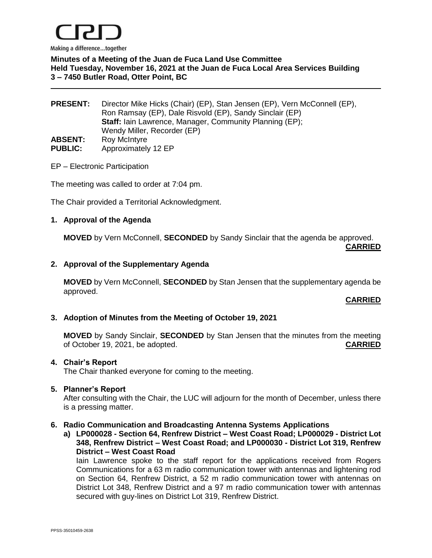

**Minutes of a Meeting of the Juan de Fuca Land Use Committee Held Tuesday, November 16, 2021 at the Juan de Fuca Local Area Services Building 3 – 7450 Butler Road, Otter Point, BC**

**PRESENT:** Director Mike Hicks (Chair) (EP), Stan Jensen (EP), Vern McConnell (EP), Ron Ramsay (EP), Dale Risvold (EP), Sandy Sinclair (EP) **Staff:** Iain Lawrence, Manager, Community Planning (EP); Wendy Miller, Recorder (EP) ABSENT: Roy McIntyre **PUBLIC:** Approximately 12 EP

## EP – Electronic Participation

The meeting was called to order at 7:04 pm.

The Chair provided a Territorial Acknowledgment.

### **1. Approval of the Agenda**

**MOVED** by Vern McConnell, **SECONDED** by Sandy Sinclair that the agenda be approved.

**CARRIED**

### **2. Approval of the Supplementary Agenda**

**MOVED** by Vern McConnell, **SECONDED** by Stan Jensen that the supplementary agenda be approved.

## **CARRIED**

## **3. Adoption of Minutes from the Meeting of October 19, 2021**

**MOVED** by Sandy Sinclair, **SECONDED** by Stan Jensen that the minutes from the meeting of October 19, 2021, be adopted. **CARRIED**

### **4. Chair's Report**

The Chair thanked everyone for coming to the meeting.

#### **5. Planner's Report**

After consulting with the Chair, the LUC will adjourn for the month of December, unless there is a pressing matter.

#### **6. Radio Communication and Broadcasting Antenna Systems Applications**

**a) LP000028 - Section 64, Renfrew District – West Coast Road; LP000029 - District Lot 348, Renfrew District – West Coast Road; and LP000030 - District Lot 319, Renfrew District – West Coast Road**

Iain Lawrence spoke to the staff report for the applications received from Rogers Communications for a 63 m radio communication tower with antennas and lightening rod on Section 64, Renfrew District, a 52 m radio communication tower with antennas on District Lot 348, Renfrew District and a 97 m radio communication tower with antennas secured with guy-lines on District Lot 319, Renfrew District.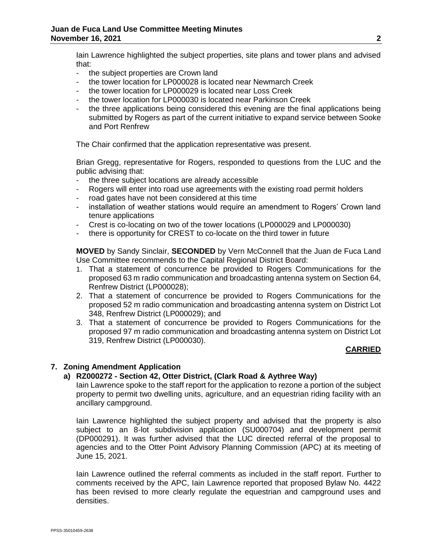Iain Lawrence highlighted the subject properties, site plans and tower plans and advised that:

- the subject properties are Crown land
- the tower location for LP000028 is located near Newmarch Creek
- the tower location for LP000029 is located near Loss Creek
- the tower location for LP000030 is located near Parkinson Creek
- the three applications being considered this evening are the final applications being submitted by Rogers as part of the current initiative to expand service between Sooke and Port Renfrew

The Chair confirmed that the application representative was present.

Brian Gregg, representative for Rogers, responded to questions from the LUC and the public advising that:

- the three subject locations are already accessible
- Rogers will enter into road use agreements with the existing road permit holders
- road gates have not been considered at this time
- installation of weather stations would require an amendment to Rogers' Crown land tenure applications
- Crest is co-locating on two of the tower locations (LP000029 and LP000030)
- there is opportunity for CREST to co-locate on the third tower in future

**MOVED** by Sandy Sinclair, **SECONDED** by Vern McConnell that the Juan de Fuca Land Use Committee recommends to the Capital Regional District Board:

- 1. That a statement of concurrence be provided to Rogers Communications for the proposed 63 m radio communication and broadcasting antenna system on Section 64, Renfrew District (LP000028);
- 2. That a statement of concurrence be provided to Rogers Communications for the proposed 52 m radio communication and broadcasting antenna system on District Lot 348, Renfrew District (LP000029); and
- 3. That a statement of concurrence be provided to Rogers Communications for the proposed 97 m radio communication and broadcasting antenna system on District Lot 319, Renfrew District (LP000030).

# **CARRIED**

# **7. Zoning Amendment Application**

# **a) RZ000272 - Section 42, Otter District, (Clark Road & Aythree Way)**

Iain Lawrence spoke to the staff report for the application to rezone a portion of the subject property to permit two dwelling units, agriculture, and an equestrian riding facility with an ancillary campground.

Iain Lawrence highlighted the subject property and advised that the property is also subject to an 8-lot subdivision application (SU000704) and development permit (DP000291). It was further advised that the LUC directed referral of the proposal to agencies and to the Otter Point Advisory Planning Commission (APC) at its meeting of June 15, 2021.

Iain Lawrence outlined the referral comments as included in the staff report. Further to comments received by the APC, Iain Lawrence reported that proposed Bylaw No. 4422 has been revised to more clearly regulate the equestrian and campground uses and densities.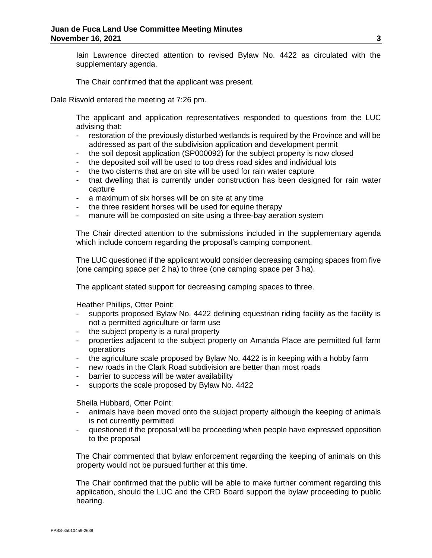Iain Lawrence directed attention to revised Bylaw No. 4422 as circulated with the supplementary agenda.

The Chair confirmed that the applicant was present.

Dale Risvold entered the meeting at 7:26 pm.

The applicant and application representatives responded to questions from the LUC advising that:

- restoration of the previously disturbed wetlands is required by the Province and will be addressed as part of the subdivision application and development permit
- the soil deposit application (SP000092) for the subject property is now closed
- the deposited soil will be used to top dress road sides and individual lots
- the two cisterns that are on site will be used for rain water capture
- that dwelling that is currently under construction has been designed for rain water capture
- a maximum of six horses will be on site at any time
- the three resident horses will be used for equine therapy
- manure will be composted on site using a three-bay aeration system

The Chair directed attention to the submissions included in the supplementary agenda which include concern regarding the proposal's camping component.

The LUC questioned if the applicant would consider decreasing camping spaces from five (one camping space per 2 ha) to three (one camping space per 3 ha).

The applicant stated support for decreasing camping spaces to three.

Heather Phillips, Otter Point:

- supports proposed Bylaw No. 4422 defining equestrian riding facility as the facility is not a permitted agriculture or farm use
- the subject property is a rural property
- properties adjacent to the subject property on Amanda Place are permitted full farm operations
- the agriculture scale proposed by Bylaw No. 4422 is in keeping with a hobby farm
- new roads in the Clark Road subdivision are better than most roads
- barrier to success will be water availability
- supports the scale proposed by Bylaw No. 4422

Sheila Hubbard, Otter Point:

- animals have been moved onto the subject property although the keeping of animals is not currently permitted
- questioned if the proposal will be proceeding when people have expressed opposition to the proposal

The Chair commented that bylaw enforcement regarding the keeping of animals on this property would not be pursued further at this time.

The Chair confirmed that the public will be able to make further comment regarding this application, should the LUC and the CRD Board support the bylaw proceeding to public hearing.